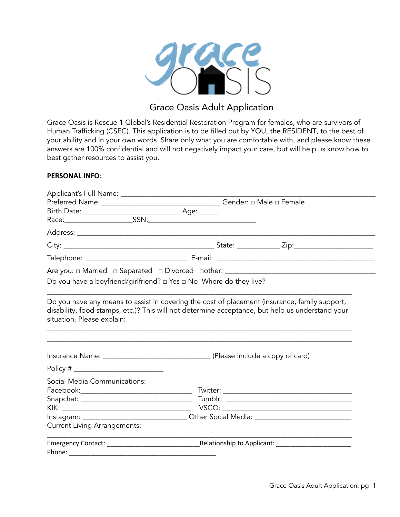

## Grace Oasis Adult Application

Grace Oasis is Rescue 1 Global's Residential Restoration Program for females, who are survivors of Human Trafficking (CSEC). This application is to be filled out by YOU, the RESIDENT, to the best of your ability and in your own words. Share only what you are comfortable with, and please know these answers are 100% confidential and will not negatively impact your care, but will help us know how to best gather resources to assist you.

#### **PERSONAL INFO**:

| Do you have a boyfriend/girlfriend? $\Box$ Yes $\Box$ No Where do they live?                         |  |  |
|------------------------------------------------------------------------------------------------------|--|--|
| situation. Please explain:                                                                           |  |  |
|                                                                                                      |  |  |
|                                                                                                      |  |  |
| Social Media Communications:                                                                         |  |  |
|                                                                                                      |  |  |
|                                                                                                      |  |  |
|                                                                                                      |  |  |
| Instagram: ___________________________________Other Social Media: __________________________________ |  |  |
| <b>Current Living Arrangements:</b>                                                                  |  |  |
| Emergency Contact: National Relationship to Applicant:                                               |  |  |
| Phone: __________                                                                                    |  |  |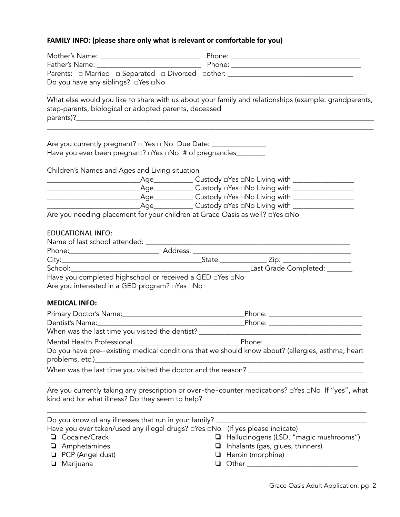### **FAMILY INFO: (please share only what is relevant or comfortable for you)**

| Do you have any siblings? □Yes □No                                           |                                                                                                                |
|------------------------------------------------------------------------------|----------------------------------------------------------------------------------------------------------------|
| step-parents, biological or adopted parents, deceased                        | What else would you like to share with us about your family and relationships (example: grandparents,          |
| Have you ever been pregnant? a Yes a No # of pregnancies________             |                                                                                                                |
| Children's Names and Ages and Living situation                               |                                                                                                                |
|                                                                              |                                                                                                                |
|                                                                              |                                                                                                                |
|                                                                              |                                                                                                                |
|                                                                              |                                                                                                                |
| Are you needing placement for your children at Grace Oasis as well? aYes aNo |                                                                                                                |
| <b>EDUCATIONAL INFO:</b>                                                     |                                                                                                                |
|                                                                              |                                                                                                                |
|                                                                              |                                                                                                                |
|                                                                              |                                                                                                                |
|                                                                              |                                                                                                                |
| Have you completed highschool or received a GED aYes aNo                     |                                                                                                                |
| Are you interested in a GED program? □ Yes □ No                              |                                                                                                                |
| <b>MEDICAL INFO:</b>                                                         |                                                                                                                |
|                                                                              |                                                                                                                |
|                                                                              |                                                                                                                |
|                                                                              |                                                                                                                |
|                                                                              |                                                                                                                |
|                                                                              | Do you have pre--existing medical conditions that we should know about? (allergies, asthma, heart              |
| problems, etc.)                                                              |                                                                                                                |
|                                                                              |                                                                                                                |
|                                                                              |                                                                                                                |
| kind and for what illness? Do they seem to help?                             | Are you currently taking any prescription or over-the-counter medications? $\Box$ Yes $\Box$ No If "yes", what |
| Do you know of any illnesses that run in your family?                        |                                                                                                                |
| Have you ever taken/used any illegal drugs? □ Yes □ No                       | (If yes please indicate)                                                                                       |
| Cocaine/Crack                                                                | Hallucinogens (LSD, "magic mushrooms")                                                                         |
| Amphetamines                                                                 | Inhalants (gas, glues, thinners)<br>⊔                                                                          |
| PCP (Angel dust)                                                             | Heroin (morphine)<br>⊔                                                                                         |
| Marijuana<br>❏                                                               | ❏                                                                                                              |
|                                                                              |                                                                                                                |
|                                                                              |                                                                                                                |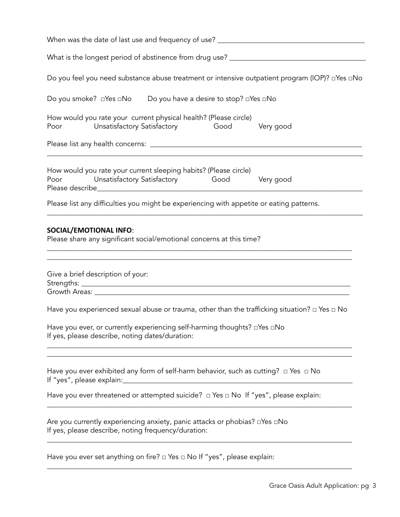| Do you feel you need substance abuse treatment or intensive outpatient program (IOP)? aYes aNo                                                                                               |  |  |  |
|----------------------------------------------------------------------------------------------------------------------------------------------------------------------------------------------|--|--|--|
| Do you smoke? □ Yes □ No Do you have a desire to stop? □ Yes □ No                                                                                                                            |  |  |  |
| How would you rate your current physical health? (Please circle)<br>Unsatisfactory Satisfactory <b>Good</b> Very good<br>Poor                                                                |  |  |  |
|                                                                                                                                                                                              |  |  |  |
| How would you rate your current sleeping habits? (Please circle)<br>Poor Unsatisfactory Satisfactory Good<br>Very good                                                                       |  |  |  |
| Please list any difficulties you might be experiencing with appetite or eating patterns.                                                                                                     |  |  |  |
| <b>SOCIAL/EMOTIONAL INFO:</b><br>Please share any significant social/emotional concerns at this time?<br>Give a brief description of your:                                                   |  |  |  |
| Have you experienced sexual abuse or trauma, other than the trafficking situation? $\Box$ Yes $\Box$ No                                                                                      |  |  |  |
| Have you ever, or currently experiencing self-harming thoughts? <b>olden</b> DNo<br>If yes, please describe, noting dates/duration:                                                          |  |  |  |
| Have you ever exhibited any form of self-harm behavior, such as cutting? $\Box$ Yes $\Box$ No<br>If "yes", please explain:<br><u> 1980 - Jan Barbara, martin da kasar Amerika Indonesia.</u> |  |  |  |
| Have you ever threatened or attempted suicide? $\Box$ Yes $\Box$ No If "yes", please explain:                                                                                                |  |  |  |
| Are you currently experiencing anxiety, panic attacks or phobias? <b>□</b> Yes □No<br>If yes, please describe, noting frequency/duration:                                                    |  |  |  |
| Have you ever set anything on fire? $\Box$ Yes $\Box$ No If "yes", please explain:                                                                                                           |  |  |  |
|                                                                                                                                                                                              |  |  |  |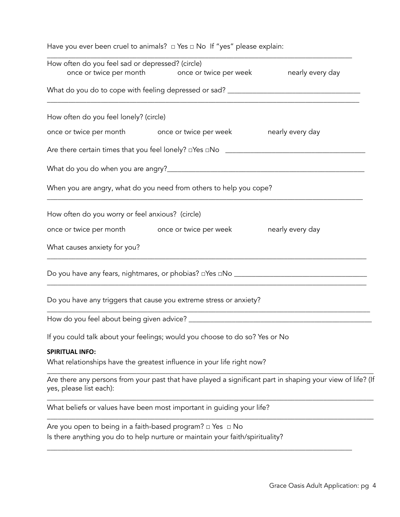| Have you ever been cruel to animals? $\Box$ Yes $\Box$ No If "yes" please explain:                                  |  |                                                                                                            |
|---------------------------------------------------------------------------------------------------------------------|--|------------------------------------------------------------------------------------------------------------|
| How often do you feel sad or depressed? (circle)<br>once or twice per month once or twice per week nearly every day |  |                                                                                                            |
|                                                                                                                     |  |                                                                                                            |
|                                                                                                                     |  |                                                                                                            |
| How often do you feel lonely? (circle)                                                                              |  |                                                                                                            |
| once or twice per month once or twice per week hearly every day                                                     |  |                                                                                                            |
|                                                                                                                     |  |                                                                                                            |
|                                                                                                                     |  |                                                                                                            |
| When you are angry, what do you need from others to help you cope?                                                  |  |                                                                                                            |
| How often do you worry or feel anxious? (circle)                                                                    |  |                                                                                                            |
| once or twice per month once or twice per week hearly every day                                                     |  |                                                                                                            |
| What causes anxiety for you?                                                                                        |  |                                                                                                            |
|                                                                                                                     |  |                                                                                                            |
| Do you have any triggers that cause you extreme stress or anxiety?                                                  |  |                                                                                                            |
|                                                                                                                     |  |                                                                                                            |
| If you could talk about your feelings; would you choose to do so? Yes or No                                         |  |                                                                                                            |
| <b>SPIRITUAL INFO:</b>                                                                                              |  |                                                                                                            |
| What relationships have the greatest influence in your life right now?                                              |  |                                                                                                            |
| yes, please list each):                                                                                             |  | Are there any persons from your past that have played a significant part in shaping your view of life? (If |
| What beliefs or values have been most important in guiding your life?                                               |  |                                                                                                            |
| Are you open to being in a faith-based program? $\Box$ Yes $\Box$ No                                                |  |                                                                                                            |
| Is there anything you do to help nurture or maintain your faith/spirituality?                                       |  |                                                                                                            |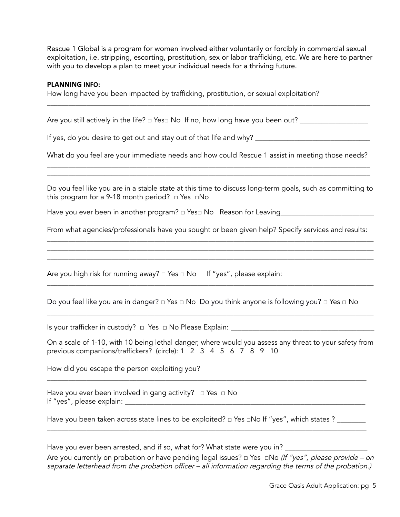Rescue 1 Global is a program for women involved either voluntarily or forcibly in commercial sexual exploitation, i.e. stripping, escorting, prostitution, sex or labor trafficking, etc. We are here to partner with you to develop a plan to meet your individual needs for a thriving future.

\_\_\_\_\_\_\_\_\_\_\_\_\_\_\_\_\_\_\_\_\_\_\_\_\_\_\_\_\_\_\_\_\_\_\_\_\_\_\_\_\_\_\_\_\_\_\_\_\_\_\_\_\_\_\_\_\_\_\_\_\_\_\_\_\_\_\_\_\_\_\_\_\_\_\_\_\_\_\_\_\_\_\_\_\_\_\_\_\_\_

#### **PLANNING INFO:**

How long have you been impacted by trafficking, prostitution, or sexual exploitation?

Are you still actively in the life? □ Yes□ No If no, how long have you been out? \_\_\_\_\_\_\_\_\_\_\_\_\_\_\_\_\_\_\_

If yes, do you desire to get out and stay out of that life and why? \_\_\_\_\_\_\_\_\_\_\_\_\_\_\_\_\_\_\_\_\_\_\_\_\_\_\_\_\_\_\_\_

What do you feel are your immediate needs and how could Rescue 1 assist in meeting those needs? \_\_\_\_\_\_\_\_\_\_\_\_\_\_\_\_\_\_\_\_\_\_\_\_\_\_\_\_\_\_\_\_\_\_\_\_\_\_\_\_\_\_\_\_\_\_\_\_\_\_\_\_\_\_\_\_\_\_\_\_\_\_\_\_\_\_\_\_\_\_\_\_\_\_\_\_\_\_\_\_\_\_\_\_\_\_\_\_\_\_

Do you feel like you are in a stable state at this time to discuss long-term goals, such as committing to this program for a 9-18 month period?  $\Box$  Yes  $\Box$ No

\_\_\_\_\_\_\_\_\_\_\_\_\_\_\_\_\_\_\_\_\_\_\_\_\_\_\_\_\_\_\_\_\_\_\_\_\_\_\_\_\_\_\_\_\_\_\_\_\_\_\_\_\_\_\_\_\_\_\_\_\_\_\_\_\_\_\_\_\_\_\_\_\_\_\_\_\_\_\_\_\_\_\_\_\_\_\_\_\_\_

Have you ever been in another program? □ Yes□ No Reason for Leaving\_\_\_\_\_\_\_\_\_\_\_\_\_

From what agencies/professionals have you sought or been given help? Specify services and results: \_\_\_\_\_\_\_\_\_\_\_\_\_\_\_\_\_\_\_\_\_\_\_\_\_\_\_\_\_\_\_\_\_\_\_\_\_\_\_\_\_\_\_\_\_\_\_\_\_\_\_\_\_\_\_\_\_\_\_\_\_\_\_\_\_\_\_\_\_\_\_\_\_\_\_\_\_\_\_\_\_\_\_\_\_\_\_\_\_\_\_

\_\_\_\_\_\_\_\_\_\_\_\_\_\_\_\_\_\_\_\_\_\_\_\_\_\_\_\_\_\_\_\_\_\_\_\_\_\_\_\_\_\_\_\_\_\_\_\_\_\_\_\_\_\_\_\_\_\_\_\_\_\_\_\_\_\_\_\_\_\_\_\_\_\_\_\_\_\_\_\_\_\_\_\_\_\_\_\_\_\_\_ \_\_\_\_\_\_\_\_\_\_\_\_\_\_\_\_\_\_\_\_\_\_\_\_\_\_\_\_\_\_\_\_\_\_\_\_\_\_\_\_\_\_\_\_\_\_\_\_\_\_\_\_\_\_\_\_\_\_\_\_\_\_\_\_\_\_\_\_\_\_\_\_\_\_\_\_\_\_\_\_\_\_\_\_\_\_\_\_\_\_\_

\_\_\_\_\_\_\_\_\_\_\_\_\_\_\_\_\_\_\_\_\_\_\_\_\_\_\_\_\_\_\_\_\_\_\_\_\_\_\_\_\_\_\_\_\_\_\_\_\_\_\_\_\_\_\_\_\_\_\_\_\_\_\_\_\_\_\_\_\_\_\_\_\_\_\_\_\_\_\_\_\_\_\_\_\_\_\_\_\_\_\_

\_\_\_\_\_\_\_\_\_\_\_\_\_\_\_\_\_\_\_\_\_\_\_\_\_\_\_\_\_\_\_\_\_\_\_\_\_\_\_\_\_\_\_\_\_\_\_\_\_\_\_\_\_\_\_\_\_\_\_\_\_\_\_\_\_\_\_\_\_\_\_\_\_\_\_\_\_\_\_\_\_\_\_\_\_\_\_\_\_\_\_

Are you high risk for running away?  $\Box$  Yes  $\Box$  No If "yes", please explain:

Do you feel like you are in danger? □ Yes □ No Do you think anyone is following you? □ Yes □ No

Is your trafficker in custody?  $\Box$  Yes  $\Box$  No Please Explain:

On a scale of 1-10, with 10 being lethal danger, where would you assess any threat to your safety from previous companions/traffickers? (circle): 1 2 3 4 5 6 7 8 9 10

\_\_\_\_\_\_\_\_\_\_\_\_\_\_\_\_\_\_\_\_\_\_\_\_\_\_\_\_\_\_\_\_\_\_\_\_\_\_\_\_\_\_\_\_\_\_\_\_\_\_\_\_\_\_\_\_\_\_\_\_\_\_\_\_\_\_\_\_\_\_\_\_\_\_\_\_\_\_\_\_\_\_\_\_\_\_\_\_\_

How did you escape the person exploiting you?

Have you ever been involved in gang activity? □ Yes □ No If "yes", please explain: \_\_\_\_\_\_\_\_\_\_\_\_\_\_\_\_\_\_\_\_\_\_\_\_\_\_\_\_\_\_\_\_\_\_\_\_\_\_\_\_\_\_\_\_\_\_\_\_\_\_\_\_\_\_\_\_\_\_\_\_\_\_\_\_\_\_\_

Have you been taken across state lines to be exploited? □ Yes □No If "yes", which states ? \_\_\_\_\_\_\_\_

\_\_\_\_\_\_\_\_\_\_\_\_\_\_\_\_\_\_\_\_\_\_\_\_\_\_\_\_\_\_\_\_\_\_\_\_\_\_\_\_\_\_\_\_\_\_\_\_\_\_\_\_\_\_\_\_\_\_\_\_\_\_\_\_\_\_\_\_\_\_\_\_\_\_\_\_\_\_\_\_\_\_\_\_\_\_\_\_\_

Have you ever been arrested, and if so, what for? What state were you in? Are you currently on probation or have pending legal issues?  $\Box$  Yes  $\Box$ No (If "yes", please provide – on separate letterhead from the probation officer – all information regarding the terms of the probation.)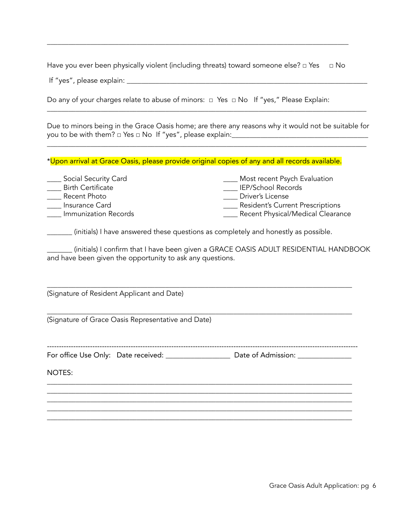Have you ever been physically violent (including threats) toward someone else? □ Yes □ No

\_\_\_\_\_\_\_\_\_\_\_\_\_\_\_\_\_\_\_\_\_\_\_\_\_\_\_\_\_\_\_\_\_\_\_\_\_\_\_\_\_\_\_\_\_\_\_\_\_\_\_\_\_\_\_\_\_\_\_\_\_\_\_\_\_\_\_\_\_\_\_\_\_\_\_\_\_\_\_\_\_\_\_\_

If "yes", please explain: \_\_\_\_\_\_\_\_\_\_\_\_\_\_\_\_\_\_\_\_\_\_\_\_\_\_\_\_\_\_\_\_\_\_\_\_\_\_\_\_\_\_\_\_\_\_\_\_\_\_\_\_\_\_\_\_\_\_\_\_\_\_\_\_\_\_\_

Do any of your charges relate to abuse of minors: □ Yes □ No If "yes," Please Explain:

Due to minors being in the Grace Oasis home; are there any reasons why it would not be suitable for you to be with them? □ Yes □ No If "yes", please explain:\_\_\_\_\_\_\_\_\_\_\_\_\_\_\_\_\_\_\_\_\_\_\_\_\_\_\_\_\_\_\_\_\_\_\_\_\_\_

\_\_\_\_\_\_\_\_\_\_\_\_\_\_\_\_\_\_\_\_\_\_\_\_\_\_\_\_\_\_\_\_\_\_\_\_\_\_\_\_\_\_\_\_\_\_\_\_\_\_\_\_\_\_\_\_\_\_\_\_\_\_\_\_\_\_\_\_\_\_\_\_\_\_\_\_\_\_\_\_\_\_\_\_\_\_\_\_\_

\_\_\_\_\_\_\_\_\_\_\_\_\_\_\_\_\_\_\_\_\_\_\_\_\_\_\_\_\_\_\_\_\_\_\_\_\_\_\_\_\_\_\_\_\_\_\_\_\_\_\_\_\_\_\_\_\_\_\_\_\_\_\_\_\_\_\_\_\_\_\_\_\_\_\_\_\_\_\_\_\_\_\_\_\_\_\_\_\_

\*Upon arrival at Grace Oasis, please provide original copies of any and all records available.

| Social Security Card     | Most recent Psych Evaluation            |
|--------------------------|-----------------------------------------|
| <b>Birth Certificate</b> | <b>IEP/School Records</b>               |
| Recent Photo             | Driver's License                        |
| Insurance Card           | <b>Resident's Current Prescriptions</b> |
| Immunization Records     | Recent Physical/Medical Clearance       |

\_\_\_\_\_\_\_ (initials) I have answered these questions as completely and honestly as possible.

\_\_\_\_\_\_\_ (initials) I confirm that I have been given a GRACE OASIS ADULT RESIDENTIAL HANDBOOK and have been given the opportunity to ask any questions.

(Signature of Resident Applicant and Date)

(Signature of Grace Oasis Representative and Date)

For office Use Only: Date received: \_\_\_\_\_\_\_\_\_\_\_\_\_\_\_\_\_\_\_\_\_ Date of Admission: \_\_\_\_\_\_\_\_\_\_\_\_\_\_\_\_\_\_\_\_\_\_\_

\_\_\_\_\_\_\_\_\_\_\_\_\_\_\_\_\_\_\_\_\_\_\_\_\_\_\_\_\_\_\_\_\_\_\_\_\_\_\_\_\_\_\_\_\_\_\_\_\_\_\_\_\_\_\_\_\_\_\_\_\_\_\_\_\_\_\_\_\_\_\_\_\_\_\_\_\_\_\_\_\_\_\_\_\_ \_\_\_\_\_\_\_\_\_\_\_\_\_\_\_\_\_\_\_\_\_\_\_\_\_\_\_\_\_\_\_\_\_\_\_\_\_\_\_\_\_\_\_\_\_\_\_\_\_\_\_\_\_\_\_\_\_\_\_\_\_\_\_\_\_\_\_\_\_\_\_\_\_\_\_\_\_\_\_\_\_\_\_\_\_ \_\_\_\_\_\_\_\_\_\_\_\_\_\_\_\_\_\_\_\_\_\_\_\_\_\_\_\_\_\_\_\_\_\_\_\_\_\_\_\_\_\_\_\_\_\_\_\_\_\_\_\_\_\_\_\_\_\_\_\_\_\_\_\_\_\_\_\_\_\_\_\_\_\_\_\_\_\_\_\_\_\_\_\_\_ \_\_\_\_\_\_\_\_\_\_\_\_\_\_\_\_\_\_\_\_\_\_\_\_\_\_\_\_\_\_\_\_\_\_\_\_\_\_\_\_\_\_\_\_\_\_\_\_\_\_\_\_\_\_\_\_\_\_\_\_\_\_\_\_\_\_\_\_\_\_\_\_\_\_\_\_\_\_\_\_\_\_\_\_\_ \_\_\_\_\_\_\_\_\_\_\_\_\_\_\_\_\_\_\_\_\_\_\_\_\_\_\_\_\_\_\_\_\_\_\_\_\_\_\_\_\_\_\_\_\_\_\_\_\_\_\_\_\_\_\_\_\_\_\_\_\_\_\_\_\_\_\_\_\_\_\_\_\_\_\_\_\_\_\_\_\_\_\_\_\_

----------------------------------------------------------------------------------------------------------------------------------

\_\_\_\_\_\_\_\_\_\_\_\_\_\_\_\_\_\_\_\_\_\_\_\_\_\_\_\_\_\_\_\_\_\_\_\_\_\_\_\_\_\_\_\_\_\_\_\_\_\_\_\_\_\_\_\_\_\_\_\_\_\_\_\_\_\_\_\_\_\_\_\_\_\_\_\_\_\_\_\_\_\_\_\_\_

\_\_\_\_\_\_\_\_\_\_\_\_\_\_\_\_\_\_\_\_\_\_\_\_\_\_\_\_\_\_\_\_\_\_\_\_\_\_\_\_\_\_\_\_\_\_\_\_\_\_\_\_\_\_\_\_\_\_\_\_\_\_\_\_\_\_\_\_\_\_\_\_\_\_\_\_\_\_\_\_\_\_\_\_\_

NOTES: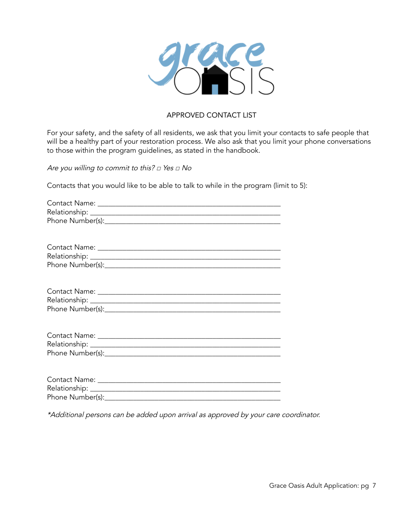

### APPROVED CONTACT LIST

For your safety, and the safety of all residents, we ask that you limit your contacts to safe people that will be a healthy part of your restoration process. We also ask that you limit your phone conversations to those within the program guidelines, as stated in the handbook.

Are you willing to commit to this? *□* Yes *□* No

Contacts that you would like to be able to talk to while in the program (limit to 5):

| Phone Number(s): |
|------------------|

\*Additional persons can be added upon arrival as approved by your care coordinator.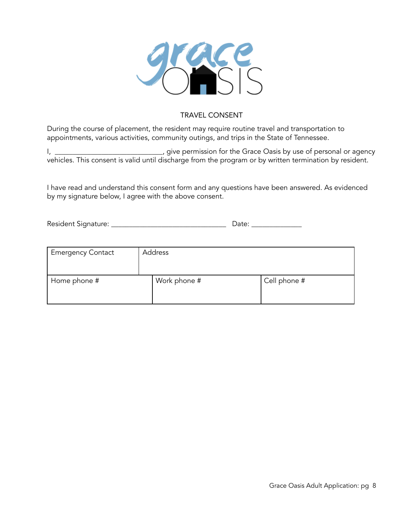

### TRAVEL CONSENT

During the course of placement, the resident may require routine travel and transportation to appointments, various activities, community outings, and trips in the State of Tennessee.

I, \_\_\_\_\_\_\_\_\_\_\_\_\_\_\_\_\_\_\_\_\_\_\_\_\_\_\_\_\_\_, give permission for the Grace Oasis by use of personal or agency vehicles. This consent is valid until discharge from the program or by written termination by resident.

I have read and understand this consent form and any questions have been answered. As evidenced by my signature below, I agree with the above consent.

Resident Signature: \_\_\_\_\_\_\_\_\_\_\_\_\_\_\_\_\_\_\_\_\_\_\_\_\_\_\_\_\_\_\_\_ Date: \_\_\_\_\_\_\_\_\_\_\_\_\_\_

| <b>Emergency Contact</b> | Address      |              |
|--------------------------|--------------|--------------|
| Home phone #             | Work phone # | Cell phone # |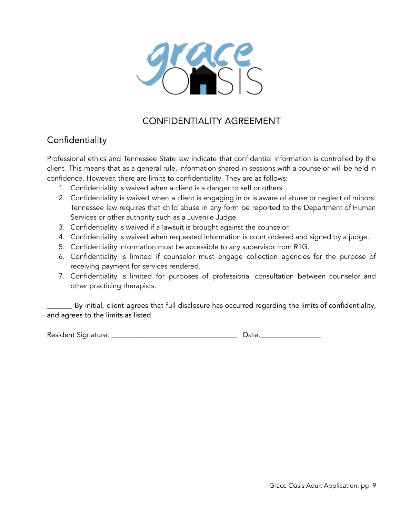

# CONFIDENTIALITY AGREEMENT

# **Confidentiality**

Professional ethics and Tennessee State law indicate that confidential information is controlled by the client. This means that as a general rule, information shared in sessions with a counselor will be held in confidence. However, there are limits to confidentiality. They are as follows:

- 1. Confidentiality is waived when a client is a danger to self or others
- 2. Confidentiality is waived when a client is engaging in or is aware of abuse or neglect of minors. Tennessee law requires that child abuse in any form be reported to the Department of Human Services or other authority such as a Juvenile Judge.
- 3. Confidentiality is waived if a lawsuit is brought against the counselor.
- 4. Confidentiality is waived when requested information is court ordered and signed by a judge.
- 5. Confidentiality information must be accessible to any supervisor from R1G.
- 6. Confidentiality is limited if counselor must engage collection agencies for the purpose of receiving payment for services rendered.
- 7. Confidentiality is limited for purposes of professional consultation between counselor and other practicing therapists.

By initial, client agrees that full disclosure has occurred regarding the limits of confidentiality, and agrees to the limits as listed.

Resident Signature: \_\_\_\_\_\_\_\_\_\_\_\_\_\_\_\_\_\_\_\_\_\_\_\_\_\_\_\_\_\_\_\_\_\_\_ Date:\_\_\_\_\_\_\_\_\_\_\_\_\_\_\_\_\_